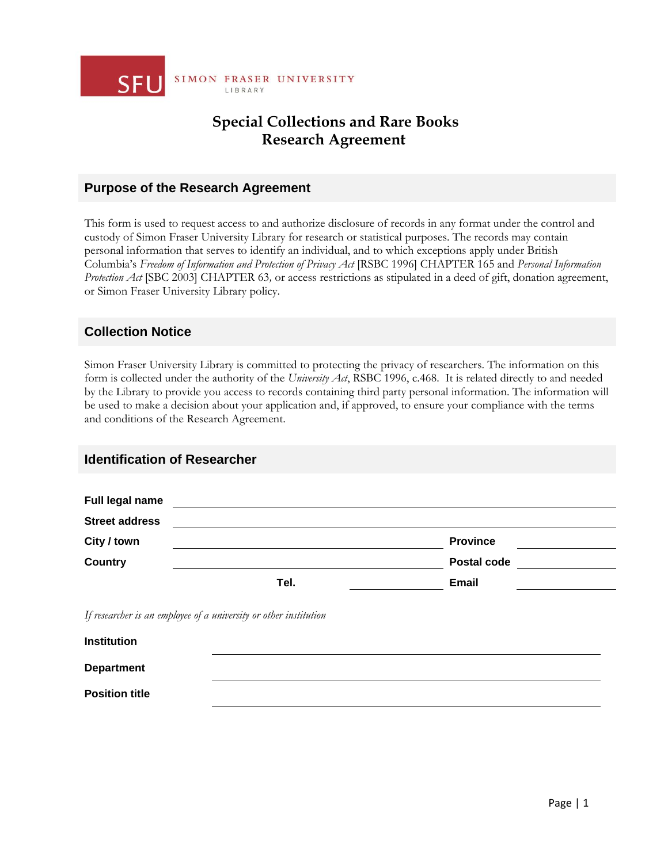

## **Special Collections and Rare Books Research Agreement**

#### **Purpose of the Research Agreement**

This form is used to request access to and authorize disclosure of records in any format under the control and custody of Simon Fraser University Library for research or statistical purposes. The records may contain personal information that serves to identify an individual, and to which exceptions apply under British Columbia's *Freedom of Information and Protection of Privacy Act* [RSBC 1996] CHAPTER 165 and *Personal Information Protection Act* [SBC 2003] CHAPTER 63*,* or access restrictions as stipulated in a deed of gift, donation agreement, or Simon Fraser University Library policy.

### **Collection Notice**

**Position title**

Simon Fraser University Library is committed to protecting the privacy of researchers. The information on this form is collected under the authority of the *University Act*, RSBC 1996, c.468. It is related directly to and needed by the Library to provide you access to records containing third party personal information. The information will be used to make a decision about your application and, if approved, to ensure your compliance with the terms and conditions of the Research Agreement.

#### **Identification of Researcher**

| Full legal name                                                   |      |                 |  |
|-------------------------------------------------------------------|------|-----------------|--|
| <b>Street address</b>                                             |      |                 |  |
| City / town                                                       |      | <b>Province</b> |  |
| <b>Country</b>                                                    |      | Postal code     |  |
|                                                                   | Tel. | <b>Email</b>    |  |
| If researcher is an employee of a university or other institution |      |                 |  |
| <b>Institution</b>                                                |      |                 |  |
| <b>Department</b>                                                 |      |                 |  |

Page | 1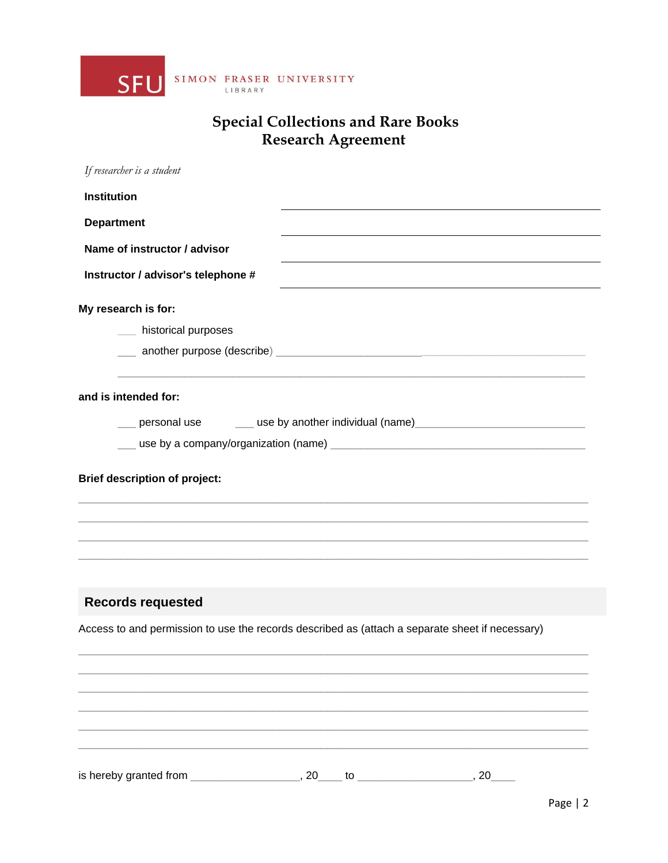

# **Special Collections and Rare Books<br>Research Agreement**

| If researcher is a student                                                                                     |    |    |    |  |
|----------------------------------------------------------------------------------------------------------------|----|----|----|--|
| <b>Institution</b>                                                                                             |    |    |    |  |
| <b>Department</b>                                                                                              |    |    |    |  |
| Name of instructor / advisor                                                                                   |    |    |    |  |
| Instructor / advisor's telephone #                                                                             |    |    |    |  |
| My research is for:                                                                                            |    |    |    |  |
| __ historical purposes                                                                                         |    |    |    |  |
|                                                                                                                |    |    |    |  |
| and is intended for:                                                                                           |    |    |    |  |
| ersonal use the same of the set of the set of the set of the set of the set of the set of the set of the set o |    |    |    |  |
|                                                                                                                |    |    |    |  |
| <b>Brief description of project:</b>                                                                           |    |    |    |  |
| <b>Records requested</b>                                                                                       |    |    |    |  |
| Access to and permission to use the records described as (attach a separate sheet if necessary)                |    |    |    |  |
|                                                                                                                |    |    |    |  |
| is hereby granted from                                                                                         | 20 | to | 20 |  |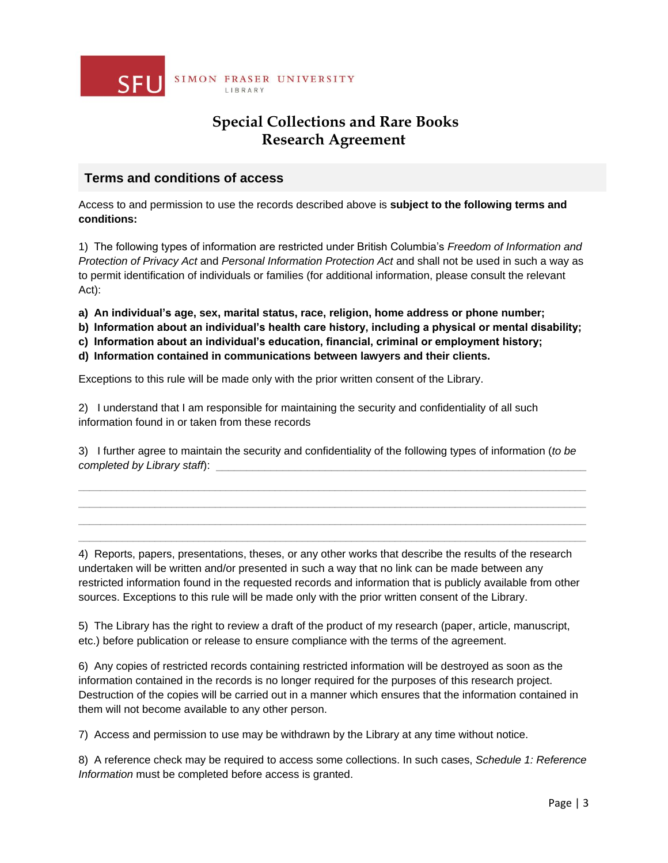

## **Special Collections and Rare Books Research Agreement**

### **Terms and conditions of access**

Access to and permission to use the records described above is **subject to the following terms and conditions:**

1) The following types of information are restricted under British Columbia's *Freedom of Information and Protection of Privacy Act* and *Personal Information Protection Act* and shall not be used in such a way as to permit identification of individuals or families (for additional information, please consult the relevant Act):

**a) An individual's age, sex, marital status, race, religion, home address or phone number;**

**b) Information about an individual's health care history, including a physical or mental disability;**

**c) Information about an individual's education, financial, criminal or employment history;**

**d) Information contained in communications between lawyers and their clients.**

Exceptions to this rule will be made only with the prior written consent of the Library.

2) I understand that I am responsible for maintaining the security and confidentiality of all such information found in or taken from these records

3) I further agree to maintain the security and confidentiality of the following types of information (*to be completed by Library staff):* 

 $\Box$  . The contribution of the contribution of the contribution of the contribution of the contribution of the contribution of the contribution of the contribution of the contribution of the contribution of the contributi  $\Box$  . The contribution of the contribution of the contribution of the contribution of the contribution of the contribution of the contribution of the contribution of the contribution of the contribution of the contributi  $\_$  ,  $\_$  ,  $\_$  ,  $\_$  ,  $\_$  ,  $\_$  ,  $\_$  ,  $\_$  ,  $\_$  ,  $\_$  ,  $\_$  ,  $\_$  ,  $\_$  ,  $\_$  ,  $\_$  ,  $\_$  ,  $\_$  ,  $\_$  ,  $\_$  ,  $\_$  ,  $\_$  ,  $\_$  ,  $\_$  ,  $\_$  ,  $\_$  ,  $\_$  ,  $\_$  ,  $\_$  ,  $\_$  ,  $\_$  ,  $\_$  ,  $\_$  ,  $\_$  ,  $\_$  ,  $\_$  ,  $\_$  ,  $\_$  ,  $\Box$  . The contribution of the contribution of the contribution of the contribution of the contribution of the contribution of the contribution of the contribution of the contribution of the contribution of the contributi

4) Reports, papers, presentations, theses, or any other works that describe the results of the research undertaken will be written and/or presented in such a way that no link can be made between any restricted information found in the requested records and information that is publicly available from other sources. Exceptions to this rule will be made only with the prior written consent of the Library.

5) The Library has the right to review a draft of the product of my research (paper, article, manuscript, etc.) before publication or release to ensure compliance with the terms of the agreement.

6) Any copies of restricted records containing restricted information will be destroyed as soon as the information contained in the records is no longer required for the purposes of this research project. Destruction of the copies will be carried out in a manner which ensures that the information contained in them will not become available to any other person.

7) Access and permission to use may be withdrawn by the Library at any time without notice.

8) A reference check may be required to access some collections. In such cases, *Schedule 1: Reference Information* must be completed before access is granted.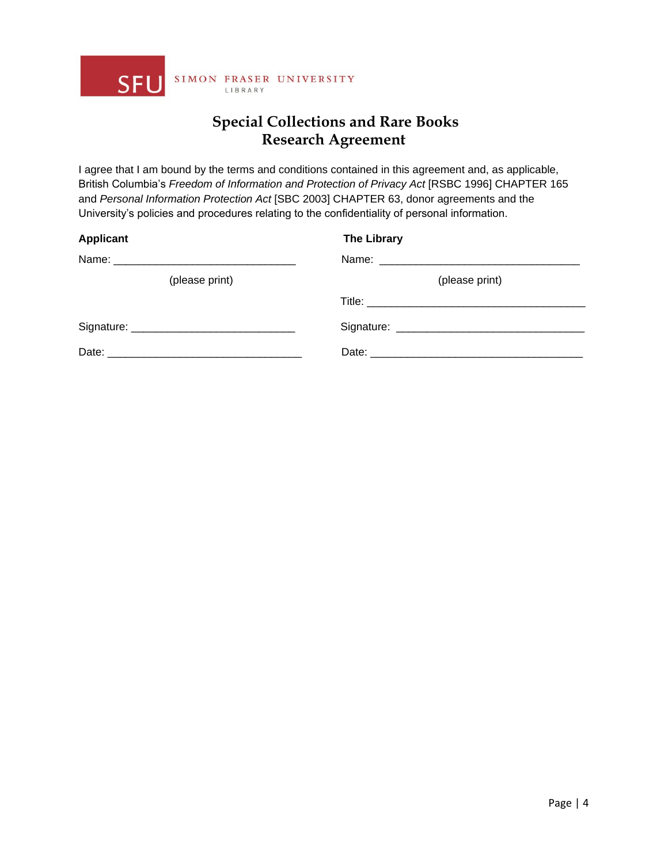

## **Special Collections and Rare Books Research Agreement**

I agree that I am bound by the terms and conditions contained in this agreement and, as applicable, British Columbia's *Freedom of Information and Protection of Privacy Act* [RSBC 1996] CHAPTER 165 and *Personal Information Protection Act* [SBC 2003] CHAPTER 63, donor agreements and the University's policies and procedures relating to the confidentiality of personal information.

| <b>Applicant</b> | <b>The Library</b> |
|------------------|--------------------|
|                  |                    |
| (please print)   | (please print)     |
|                  |                    |
|                  |                    |
|                  |                    |